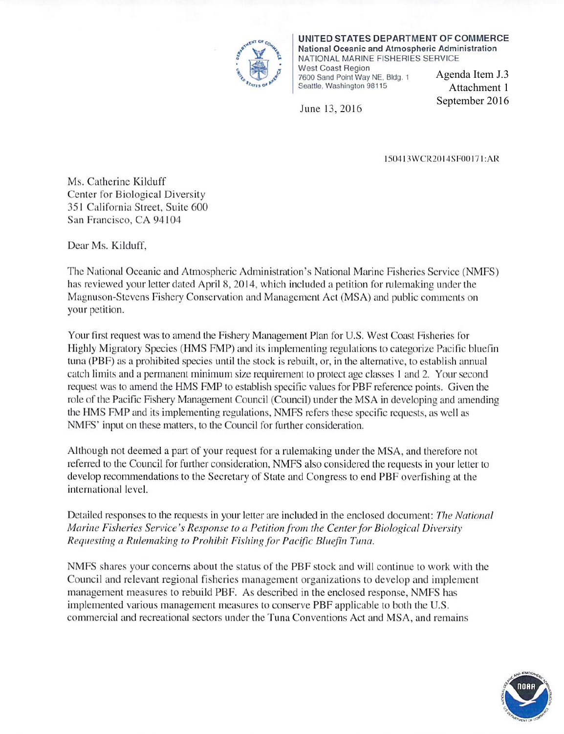

UNITED STATES DEPARTMENT OF COMMERCE National Oceanic and Atmospheric Administration NATIONAL MARINE FISHERIES SERVICE **West Coast Region** Agenda Item J.3 7600 Sand Point Way NE, Bldg. 1 Seattle, Washington 98115

June 13, 2016

Attachment 1 September 2016

150413WCR2014SF00171:AR

Ms. Catherine Kilduff **Center for Biological Diversity** 351 California Street, Suite 600 San Francisco, CA 94104

Dear Ms. Kilduff.

The National Oceanic and Atmospheric Administration's National Marine Fisheries Service (NMFS) has reviewed your letter dated April 8, 2014, which included a petition for rulemaking under the Magnuson-Stevens Fishery Conservation and Management Act (MSA) and public comments on your petition.

Your first request was to amend the Fishery Management Plan for U.S. West Coast Fisheries for Highly Migratory Species (HMS FMP) and its implementing regulations to categorize Pacific bluefin tuna (PBF) as a prohibited species until the stock is rebuilt, or, in the alternative, to establish annual catch limits and a permanent minimum size requirement to protect age classes 1 and 2. Your second request was to amend the HMS FMP to establish specific values for PBF reference points. Given the role of the Pacific Fishery Management Council (Council) under the MSA in developing and amending the HMS FMP and its implementing regulations, NMFS refers these specific requests, as well as NMFS' input on these matters, to the Council for further consideration.

Although not deemed a part of your request for a rulemaking under the MSA, and therefore not referred to the Council for further consideration, NMFS also considered the requests in your letter to develop recommendations to the Secretary of State and Congress to end PBF overfishing at the international level.

Detailed responses to the requests in your letter are included in the enclosed document: The National Marine Fisheries Service's Response to a Petition from the Center for Biological Diversity Requesting a Rulemaking to Prohibit Fishing for Pacific Bluefin Tuna.

NMFS shares your concerns about the status of the PBF stock and will continue to work with the Council and relevant regional fisheries management organizations to develop and implement management measures to rebuild PBF. As described in the enclosed response, NMFS has implemented various management measures to conserve PBF applicable to both the U.S. commercial and recreational sectors under the Tuna Conventions Act and MSA, and remains

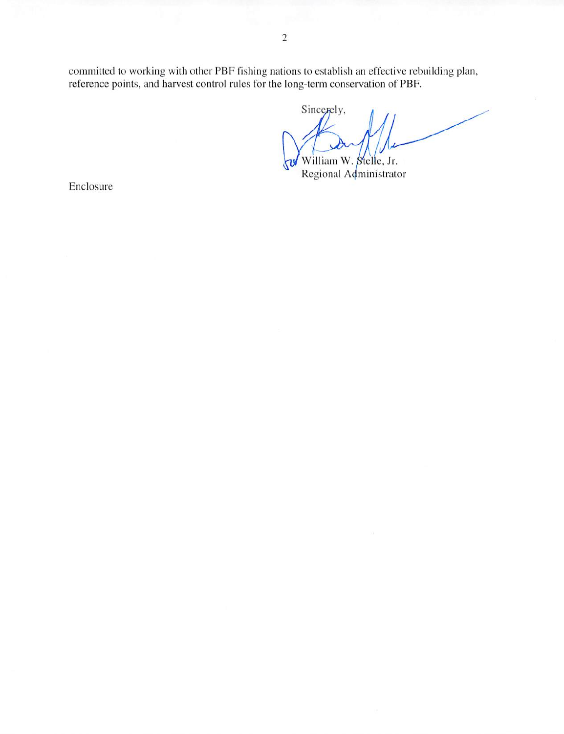committed to working with other PBF fishing nations to establish an effective rebuilding plan, reference points, and harvest control rules for the long-term conservation of PBF.

Sincerely,

William W. Stelle, Jr. Regional Administrator

Enclosure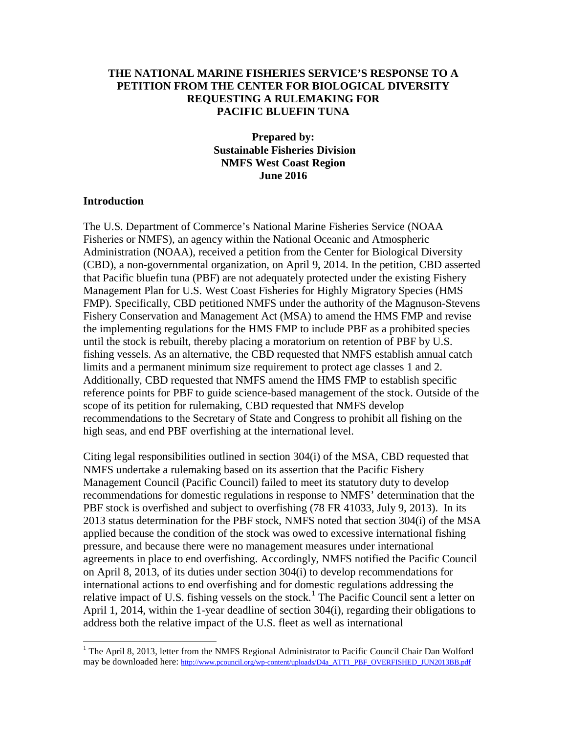### **THE NATIONAL MARINE FISHERIES SERVICE'S RESPONSE TO A PETITION FROM THE CENTER FOR BIOLOGICAL DIVERSITY REQUESTING A RULEMAKING FOR PACIFIC BLUEFIN TUNA**

**Prepared by: Sustainable Fisheries Division NMFS West Coast Region June 2016**

#### **Introduction**

The U.S. Department of Commerce's National Marine Fisheries Service (NOAA Fisheries or NMFS), an agency within the National Oceanic and Atmospheric Administration (NOAA), received a petition from the Center for Biological Diversity (CBD), a non-governmental organization, on April 9, 2014. In the petition, CBD asserted that Pacific bluefin tuna (PBF) are not adequately protected under the existing Fishery Management Plan for U.S. West Coast Fisheries for Highly Migratory Species (HMS FMP). Specifically, CBD petitioned NMFS under the authority of the Magnuson-Stevens Fishery Conservation and Management Act (MSA) to amend the HMS FMP and revise the implementing regulations for the HMS FMP to include PBF as a prohibited species until the stock is rebuilt, thereby placing a moratorium on retention of PBF by U.S. fishing vessels. As an alternative, the CBD requested that NMFS establish annual catch limits and a permanent minimum size requirement to protect age classes 1 and 2. Additionally, CBD requested that NMFS amend the HMS FMP to establish specific reference points for PBF to guide science-based management of the stock. Outside of the scope of its petition for rulemaking, CBD requested that NMFS develop recommendations to the Secretary of State and Congress to prohibit all fishing on the high seas, and end PBF overfishing at the international level.

Citing legal responsibilities outlined in section 304(i) of the MSA, CBD requested that NMFS undertake a rulemaking based on its assertion that the Pacific Fishery Management Council (Pacific Council) failed to meet its statutory duty to develop recommendations for domestic regulations in response to NMFS' determination that the PBF stock is overfished and subject to overfishing (78 FR 41033, July 9, 2013). In its 2013 status determination for the PBF stock, NMFS noted that section 304(i) of the MSA applied because the condition of the stock was owed to excessive international fishing pressure, and because there were no management measures under international agreements in place to end overfishing. Accordingly, NMFS notified the Pacific Council on April 8, 2013, of its duties under section 304(i) to develop recommendations for international actions to end overfishing and for domestic regulations addressing the relative impact of U.S. fishing vessels on the stock.<sup>[1](#page-2-0)</sup> The Pacific Council sent a letter on April 1, 2014, within the 1-year deadline of section 304(i), regarding their obligations to address both the relative impact of the U.S. fleet as well as international

<span id="page-2-0"></span><sup>&</sup>lt;sup>1</sup> The April 8, 2013, letter from the NMFS Regional Administrator to Pacific Council Chair Dan Wolford may be downloaded here: [http://www.pcouncil.org/wp-content/uploads/D4a\\_ATT1\\_PBF\\_OVERFISHED\\_JUN2013BB.pdf](http://www.pcouncil.org/wp-content/uploads/D4a_ATT1_PBF_OVERFISHED_JUN2013BB.pdf)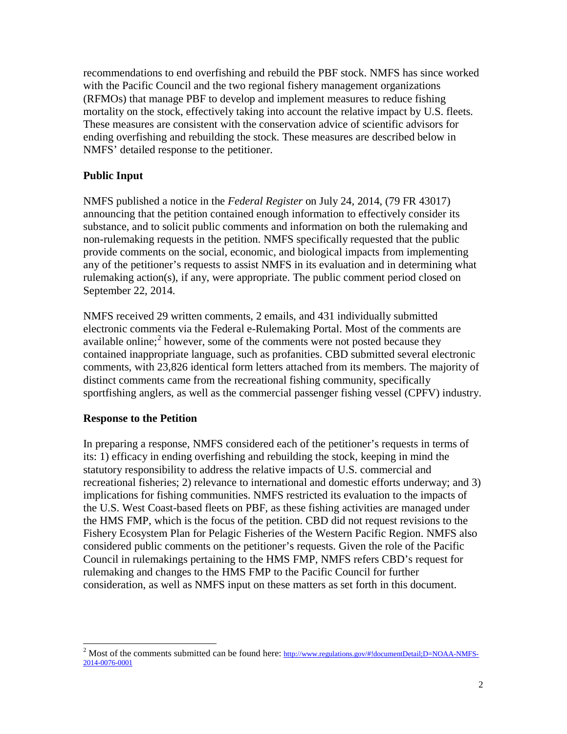recommendations to end overfishing and rebuild the PBF stock. NMFS has since worked with the Pacific Council and the two regional fishery management organizations (RFMOs) that manage PBF to develop and implement measures to reduce fishing mortality on the stock, effectively taking into account the relative impact by U.S. fleets. These measures are consistent with the conservation advice of scientific advisors for ending overfishing and rebuilding the stock. These measures are described below in NMFS' detailed response to the petitioner.

# **Public Input**

NMFS published a notice in the *Federal Register* on July 24, 2014, (79 FR 43017) announcing that the petition contained enough information to effectively consider its substance, and to solicit public comments and information on both the rulemaking and non-rulemaking requests in the petition. NMFS specifically requested that the public provide comments on the social, economic, and biological impacts from implementing any of the petitioner's requests to assist NMFS in its evaluation and in determining what rulemaking action(s), if any, were appropriate. The public comment period closed on September 22, 2014.

NMFS received 29 written comments, 2 emails, and 431 individually submitted electronic comments via the Federal e-Rulemaking Portal. Most of the comments are available online;<sup>[2](#page-3-0)</sup> however, some of the comments were not posted because they contained inappropriate language, such as profanities. CBD submitted several electronic comments, with 23,826 identical form letters attached from its members. The majority of distinct comments came from the recreational fishing community, specifically sportfishing anglers, as well as the commercial passenger fishing vessel (CPFV) industry.

## **Response to the Petition**

In preparing a response, NMFS considered each of the petitioner's requests in terms of its: 1) efficacy in ending overfishing and rebuilding the stock, keeping in mind the statutory responsibility to address the relative impacts of U.S. commercial and recreational fisheries; 2) relevance to international and domestic efforts underway; and 3) implications for fishing communities. NMFS restricted its evaluation to the impacts of the U.S. West Coast-based fleets on PBF, as these fishing activities are managed under the HMS FMP, which is the focus of the petition. CBD did not request revisions to the Fishery Ecosystem Plan for Pelagic Fisheries of the Western Pacific Region. NMFS also considered public comments on the petitioner's requests. Given the role of the Pacific Council in rulemakings pertaining to the HMS FMP, NMFS refers CBD's request for rulemaking and changes to the HMS FMP to the Pacific Council for further consideration, as well as NMFS input on these matters as set forth in this document.

<span id="page-3-0"></span><sup>&</sup>lt;sup>2</sup> Most of the comments submitted can be found here: [http://www.regulations.gov/#!documentDetail;D=NOAA-NMFS-](http://www.regulations.gov/#!documentDetail;D=NOAA-NMFS-2014-0076-0001)[2014-0076-0001](http://www.regulations.gov/#!documentDetail;D=NOAA-NMFS-2014-0076-0001)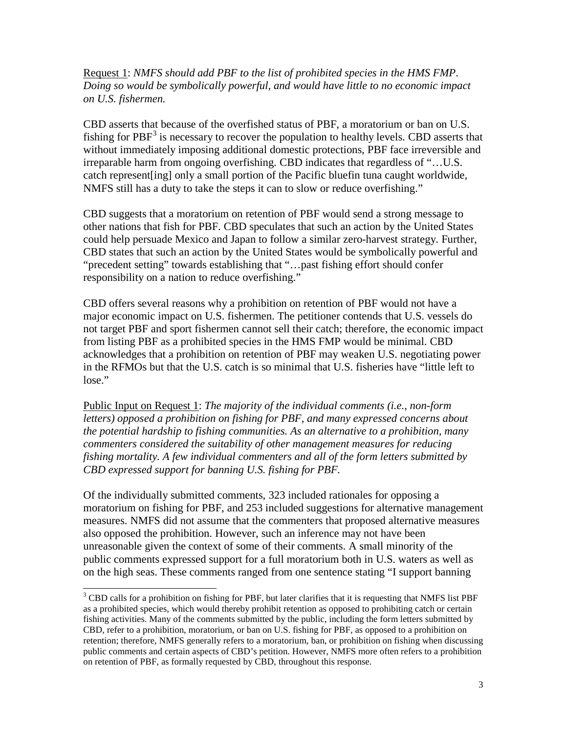Request 1: *NMFS should add PBF to the list of prohibited species in the HMS FMP*. *Doing so would be symbolically powerful, and would have little to no economic impact on U.S. fishermen.*

CBD asserts that because of the overfished status of PBF, a moratorium or ban on U.S. fishing for  $PBF<sup>3</sup>$  $PBF<sup>3</sup>$  $PBF<sup>3</sup>$  is necessary to recover the population to healthy levels. CBD asserts that without immediately imposing additional domestic protections, PBF face irreversible and irreparable harm from ongoing overfishing. CBD indicates that regardless of "…U.S. catch represent[ing] only a small portion of the Pacific bluefin tuna caught worldwide, NMFS still has a duty to take the steps it can to slow or reduce overfishing."

CBD suggests that a moratorium on retention of PBF would send a strong message to other nations that fish for PBF. CBD speculates that such an action by the United States could help persuade Mexico and Japan to follow a similar zero-harvest strategy. Further, CBD states that such an action by the United States would be symbolically powerful and "precedent setting" towards establishing that "…past fishing effort should confer responsibility on a nation to reduce overfishing."

CBD offers several reasons why a prohibition on retention of PBF would not have a major economic impact on U.S. fishermen. The petitioner contends that U.S. vessels do not target PBF and sport fishermen cannot sell their catch; therefore, the economic impact from listing PBF as a prohibited species in the HMS FMP would be minimal. CBD acknowledges that a prohibition on retention of PBF may weaken U.S. negotiating power in the RFMOs but that the U.S. catch is so minimal that U.S. fisheries have "little left to lose."

Public Input on Request 1: *The majority of the individual comments (i.e., non-form letters) opposed a prohibition on fishing for PBF, and many expressed concerns about the potential hardship to fishing communities. As an alternative to a prohibition, many commenters considered the suitability of other management measures for reducing fishing mortality. A few individual commenters and all of the form letters submitted by CBD expressed support for banning U.S. fishing for PBF.*

Of the individually submitted comments, 323 included rationales for opposing a moratorium on fishing for PBF, and 253 included suggestions for alternative management measures. NMFS did not assume that the commenters that proposed alternative measures also opposed the prohibition. However, such an inference may not have been unreasonable given the context of some of their comments. A small minority of the public comments expressed support for a full moratorium both in U.S. waters as well as on the high seas. These comments ranged from one sentence stating "I support banning

<span id="page-4-0"></span><sup>&</sup>lt;sup>3</sup> CBD calls for a prohibition on fishing for PBF, but later clarifies that it is requesting that NMFS list PBF as a prohibited species, which would thereby prohibit retention as opposed to prohibiting catch or certain fishing activities. Many of the comments submitted by the public, including the form letters submitted by CBD, refer to a prohibition, moratorium, or ban on U.S. fishing for PBF, as opposed to a prohibition on retention; therefore, NMFS generally refers to a moratorium, ban, or prohibition on fishing when discussing public comments and certain aspects of CBD's petition. However, NMFS more often refers to a prohibition on retention of PBF, as formally requested by CBD, throughout this response.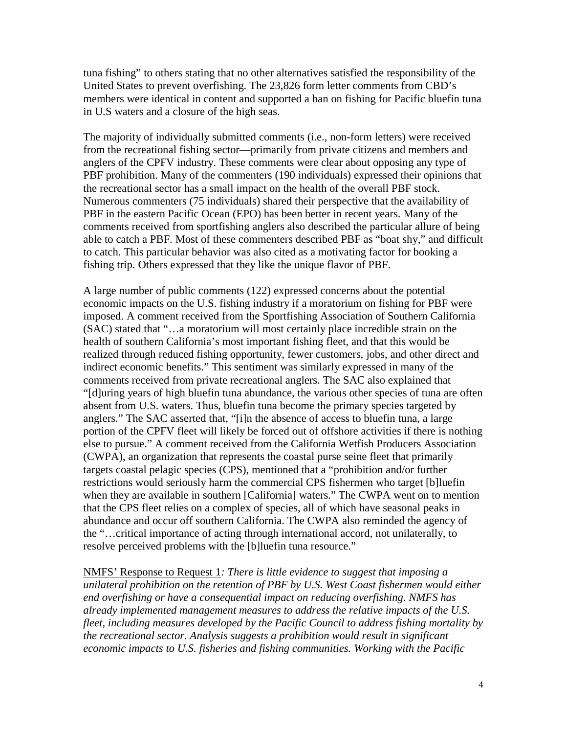tuna fishing" to others stating that no other alternatives satisfied the responsibility of the United States to prevent overfishing. The 23,826 form letter comments from CBD's members were identical in content and supported a ban on fishing for Pacific bluefin tuna in U.S waters and a closure of the high seas.

The majority of individually submitted comments (i.e., non-form letters) were received from the recreational fishing sector—primarily from private citizens and members and anglers of the CPFV industry. These comments were clear about opposing any type of PBF prohibition. Many of the commenters (190 individuals) expressed their opinions that the recreational sector has a small impact on the health of the overall PBF stock. Numerous commenters (75 individuals) shared their perspective that the availability of PBF in the eastern Pacific Ocean (EPO) has been better in recent years. Many of the comments received from sportfishing anglers also described the particular allure of being able to catch a PBF. Most of these commenters described PBF as "boat shy," and difficult to catch. This particular behavior was also cited as a motivating factor for booking a fishing trip. Others expressed that they like the unique flavor of PBF.

A large number of public comments (122) expressed concerns about the potential economic impacts on the U.S. fishing industry if a moratorium on fishing for PBF were imposed. A comment received from the Sportfishing Association of Southern California (SAC) stated that "…a moratorium will most certainly place incredible strain on the health of southern California's most important fishing fleet, and that this would be realized through reduced fishing opportunity, fewer customers, jobs, and other direct and indirect economic benefits." This sentiment was similarly expressed in many of the comments received from private recreational anglers. The SAC also explained that "[d]uring years of high bluefin tuna abundance, the various other species of tuna are often absent from U.S. waters. Thus, bluefin tuna become the primary species targeted by anglers." The SAC asserted that, "[i]n the absence of access to bluefin tuna, a large portion of the CPFV fleet will likely be forced out of offshore activities if there is nothing else to pursue." A comment received from the California Wetfish Producers Association (CWPA), an organization that represents the coastal purse seine fleet that primarily targets coastal pelagic species (CPS), mentioned that a "prohibition and/or further restrictions would seriously harm the commercial CPS fishermen who target [b]luefin when they are available in southern [California] waters." The CWPA went on to mention that the CPS fleet relies on a complex of species, all of which have seasonal peaks in abundance and occur off southern California. The CWPA also reminded the agency of the "…critical importance of acting through international accord, not unilaterally, to resolve perceived problems with the [b]luefin tuna resource."

NMFS' Response to Request 1*: There is little evidence to suggest that imposing a unilateral prohibition on the retention of PBF by U.S. West Coast fishermen would either end overfishing or have a consequential impact on reducing overfishing. NMFS has already implemented management measures to address the relative impacts of the U.S. fleet, including measures developed by the Pacific Council to address fishing mortality by the recreational sector. Analysis suggests a prohibition would result in significant economic impacts to U.S. fisheries and fishing communities. Working with the Pacific*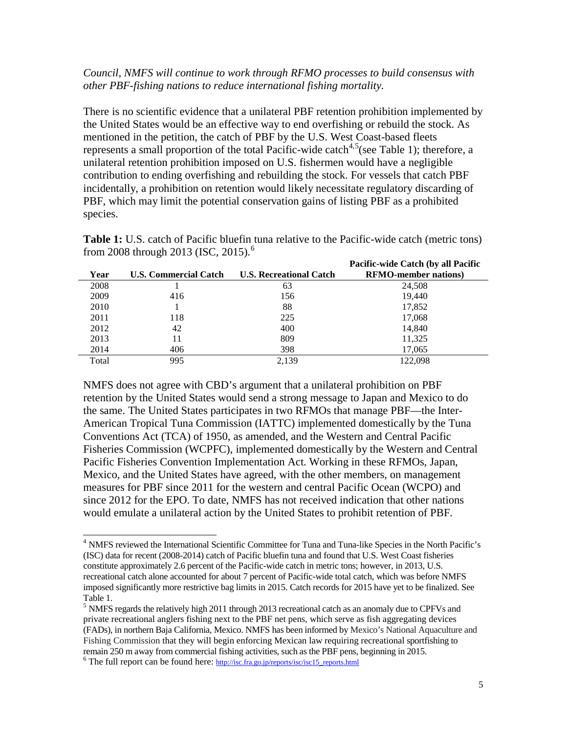## *Council, NMFS will continue to work through RFMO processes to build consensus with other PBF-fishing nations to reduce international fishing mortality.*

There is no scientific evidence that a unilateral PBF retention prohibition implemented by the United States would be an effective way to end overfishing or rebuild the stock. As mentioned in the petition, the catch of PBF by the U.S. West Coast-based fleets represents a small proportion of the total Pacific-wide catch<sup>[4](#page-6-0),[5](#page-6-1)</sup> (see Table 1); therefore, a unilateral retention prohibition imposed on U.S. fishermen would have a negligible contribution to ending overfishing and rebuilding the stock. For vessels that catch PBF incidentally, a prohibition on retention would likely necessitate regulatory discarding of PBF, which may limit the potential conservation gains of listing PBF as a prohibited species.

**Table 1:** U.S. catch of Pacific bluefin tuna relative to the Pacific-wide catch (metric tons) from 2008 through 2013 (ISC, 2015).<sup>[6](#page-6-2)</sup> **Pacific-wide Catch (by all Pacific** 

| Year  | <b>U.S. Commercial Catch</b> | <b>U.S. Recreational Catch</b> | Pacific-Wide Catch (by all Pacific<br><b>RFMO-member nations</b> ) |
|-------|------------------------------|--------------------------------|--------------------------------------------------------------------|
| 2008  |                              | 63                             | 24.508                                                             |
| 2009  | 416                          | 156                            | 19,440                                                             |
| 2010  |                              | 88                             | 17,852                                                             |
| 2011  | 118                          | 225                            | 17,068                                                             |
| 2012  | 42                           | 400                            | 14,840                                                             |
| 2013  | 11                           | 809                            | 11,325                                                             |
| 2014  | 406                          | 398                            | 17,065                                                             |
| Total | 995                          | 2,139                          | 122.098                                                            |

NMFS does not agree with CBD's argument that a unilateral prohibition on PBF retention by the United States would send a strong message to Japan and Mexico to do the same. The United States participates in two RFMOs that manage PBF—the Inter-American Tropical Tuna Commission (IATTC) implemented domestically by the Tuna Conventions Act (TCA) of 1950, as amended, and the Western and Central Pacific Fisheries Commission (WCPFC), implemented domestically by the Western and Central Pacific Fisheries Convention Implementation Act. Working in these RFMOs, Japan, Mexico, and the United States have agreed, with the other members, on management measures for PBF since 2011 for the western and central Pacific Ocean (WCPO) and since 2012 for the EPO. To date, NMFS has not received indication that other nations would emulate a unilateral action by the United States to prohibit retention of PBF.

<span id="page-6-0"></span><sup>&</sup>lt;sup>4</sup> NMFS reviewed the International Scientific Committee for Tuna and Tuna-like Species in the North Pacific's (ISC) data for recent (2008-2014) catch of Pacific bluefin tuna and found that U.S. West Coast fisheries constitute approximately 2.6 percent of the Pacific-wide catch in metric tons; however, in 2013, U.S. recreational catch alone accounted for about 7 percent of Pacific-wide total catch, which was before NMFS imposed significantly more restrictive bag limits in 2015. Catch records for 2015 have yet to be finalized. See Table 1.<br><sup>5</sup> NMFS regards the relatively high 2011 through 2013 recreational catch as an anomaly due to CPFVs and

<span id="page-6-1"></span>private recreational anglers fishing next to the PBF net pens, which serve as fish aggregating devices (FADs), in northern Baja California, Mexico. NMFS has been informed by Mexico's National Aquaculture and Fishing Commission that they will begin enforcing Mexican law requiring recreational sportfishing to remain 250 m away from commercial fishing activities, such as the PBF pens, beginning in 2015.<br><sup>6</sup> The full report can be found here: [http://isc.fra.go.jp/reports/isc/isc15\\_reports.html](http://isc.fra.go.jp/reports/isc/isc15_reports.html)

<span id="page-6-2"></span>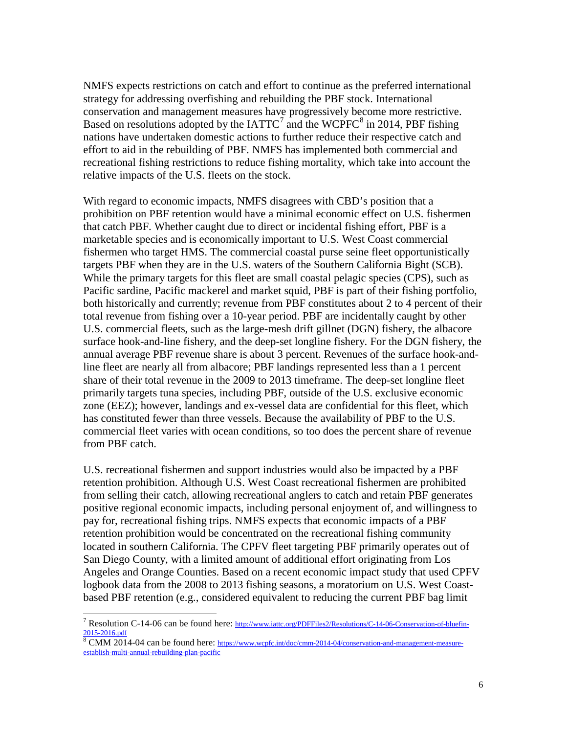NMFS expects restrictions on catch and effort to continue as the preferred international strategy for addressing overfishing and rebuilding the PBF stock. International conservation and management measures have progressively become more restrictive. Based on resolutions adopted by the  $IATTC<sup>7</sup>$  $IATTC<sup>7</sup>$  $IATTC<sup>7</sup>$  and the WCPFC<sup>[8](#page-7-1)</sup> in 2014, PBF fishing nations have undertaken domestic actions to further reduce their respective catch and effort to aid in the rebuilding of PBF. NMFS has implemented both commercial and recreational fishing restrictions to reduce fishing mortality, which take into account the relative impacts of the U.S. fleets on the stock.

With regard to economic impacts, NMFS disagrees with CBD's position that a prohibition on PBF retention would have a minimal economic effect on U.S. fishermen that catch PBF. Whether caught due to direct or incidental fishing effort, PBF is a marketable species and is economically important to U.S. West Coast commercial fishermen who target HMS. The commercial coastal purse seine fleet opportunistically targets PBF when they are in the U.S. waters of the Southern California Bight (SCB). While the primary targets for this fleet are small coastal pelagic species (CPS), such as Pacific sardine, Pacific mackerel and market squid, PBF is part of their fishing portfolio, both historically and currently; revenue from PBF constitutes about 2 to 4 percent of their total revenue from fishing over a 10-year period. PBF are incidentally caught by other U.S. commercial fleets, such as the large-mesh drift gillnet (DGN) fishery, the albacore surface hook-and-line fishery, and the deep-set longline fishery. For the DGN fishery, the annual average PBF revenue share is about 3 percent. Revenues of the surface hook-andline fleet are nearly all from albacore; PBF landings represented less than a 1 percent share of their total revenue in the 2009 to 2013 timeframe. The deep-set longline fleet primarily targets tuna species, including PBF, outside of the U.S. exclusive economic zone (EEZ); however, landings and ex-vessel data are confidential for this fleet, which has constituted fewer than three vessels. Because the availability of PBF to the U.S. commercial fleet varies with ocean conditions, so too does the percent share of revenue from PBF catch.

U.S. recreational fishermen and support industries would also be impacted by a PBF retention prohibition. Although U.S. West Coast recreational fishermen are prohibited from selling their catch, allowing recreational anglers to catch and retain PBF generates positive regional economic impacts, including personal enjoyment of, and willingness to pay for, recreational fishing trips. NMFS expects that economic impacts of a PBF retention prohibition would be concentrated on the recreational fishing community located in southern California. The CPFV fleet targeting PBF primarily operates out of San Diego County, with a limited amount of additional effort originating from Los Angeles and Orange Counties. Based on a recent economic impact study that used CPFV logbook data from the 2008 to 2013 fishing seasons, a moratorium on U.S. West Coastbased PBF retention (e.g., considered equivalent to reducing the current PBF bag limit

<span id="page-7-0"></span><sup>&</sup>lt;sup>7</sup> Resolution C-14-06 can be found here: [http://www.iattc.org/PDFFiles2/Resolutions/C-14-06-Conservation-of-bluefin-](http://www.iattc.org/PDFFiles2/Resolutions/C-14-06-Conservation-of-bluefin-2015-2016.pdf)

<span id="page-7-1"></span>[<sup>2015-2016.</sup>pdf](http://www.iattc.org/PDFFiles2/Resolutions/C-14-06-Conservation-of-bluefin-2015-2016.pdf)<br>8 CMM 2014-04 can be found here: [https://www.wcpfc.int/doc/cmm-2014-04/conservation-and-management-measure](https://www.wcpfc.int/doc/cmm-2014-04/conservation-and-management-measure-establish-multi-annual-rebuilding-plan-pacific)[establish-multi-annual-rebuilding-plan-pacific](https://www.wcpfc.int/doc/cmm-2014-04/conservation-and-management-measure-establish-multi-annual-rebuilding-plan-pacific)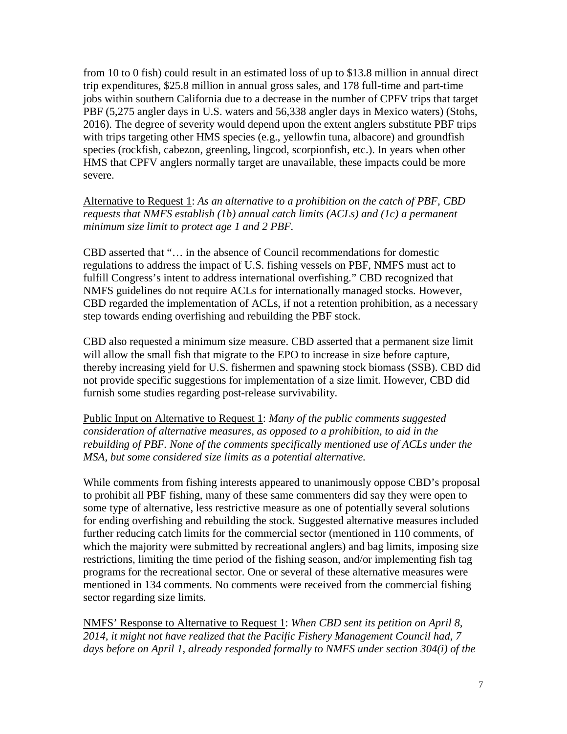from 10 to 0 fish) could result in an estimated loss of up to \$13.8 million in annual direct trip expenditures, \$25.8 million in annual gross sales, and 178 full-time and part-time jobs within southern California due to a decrease in the number of CPFV trips that target PBF (5,275 angler days in U.S. waters and 56,338 angler days in Mexico waters) (Stohs, 2016). The degree of severity would depend upon the extent anglers substitute PBF trips with trips targeting other HMS species (e.g., yellowfin tuna, albacore) and groundfish species (rockfish, cabezon, greenling, lingcod, scorpionfish, etc.). In years when other HMS that CPFV anglers normally target are unavailable, these impacts could be more severe.

Alternative to Request 1: *As an alternative to a prohibition on the catch of PBF, CBD requests that NMFS establish (1b) annual catch limits (ACLs) and (1c) a permanent minimum size limit to protect age 1 and 2 PBF.*

CBD asserted that "… in the absence of Council recommendations for domestic regulations to address the impact of U.S. fishing vessels on PBF, NMFS must act to fulfill Congress's intent to address international overfishing." CBD recognized that NMFS guidelines do not require ACLs for internationally managed stocks. However, CBD regarded the implementation of ACLs, if not a retention prohibition, as a necessary step towards ending overfishing and rebuilding the PBF stock.

CBD also requested a minimum size measure. CBD asserted that a permanent size limit will allow the small fish that migrate to the EPO to increase in size before capture, thereby increasing yield for U.S. fishermen and spawning stock biomass (SSB). CBD did not provide specific suggestions for implementation of a size limit. However, CBD did furnish some studies regarding post-release survivability.

Public Input on Alternative to Request 1: *Many of the public comments suggested consideration of alternative measures, as opposed to a prohibition, to aid in the rebuilding of PBF. None of the comments specifically mentioned use of ACLs under the MSA, but some considered size limits as a potential alternative.* 

While comments from fishing interests appeared to unanimously oppose CBD's proposal to prohibit all PBF fishing, many of these same commenters did say they were open to some type of alternative, less restrictive measure as one of potentially several solutions for ending overfishing and rebuilding the stock. Suggested alternative measures included further reducing catch limits for the commercial sector (mentioned in 110 comments, of which the majority were submitted by recreational anglers) and bag limits, imposing size restrictions, limiting the time period of the fishing season, and/or implementing fish tag programs for the recreational sector. One or several of these alternative measures were mentioned in 134 comments. No comments were received from the commercial fishing sector regarding size limits.

NMFS' Response to Alternative to Request 1: *When CBD sent its petition on April 8, 2014, it might not have realized that the Pacific Fishery Management Council had, 7 days before on April 1, already responded formally to NMFS under section 304(i) of the*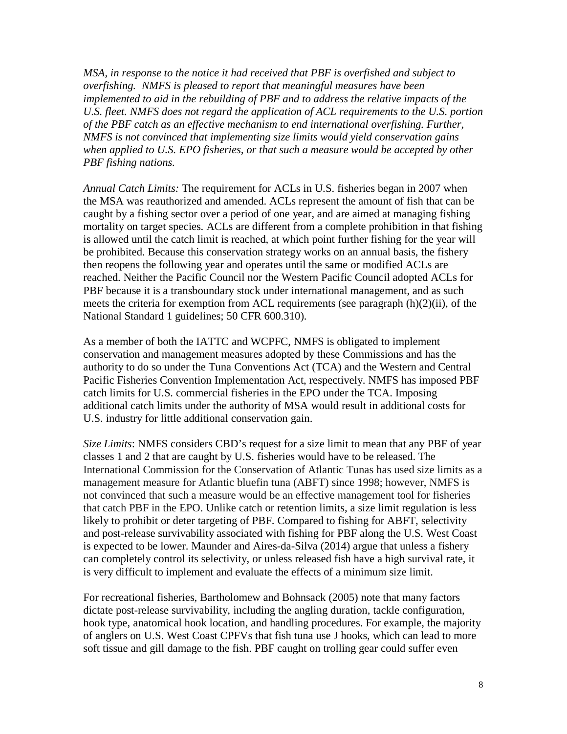*MSA, in response to the notice it had received that PBF is overfished and subject to overfishing. NMFS is pleased to report that meaningful measures have been implemented to aid in the rebuilding of PBF and to address the relative impacts of the U.S. fleet. NMFS does not regard the application of ACL requirements to the U.S. portion of the PBF catch as an effective mechanism to end international overfishing. Further, NMFS is not convinced that implementing size limits would yield conservation gains when applied to U.S. EPO fisheries, or that such a measure would be accepted by other PBF fishing nations.* 

*Annual Catch Limits:* The requirement for ACLs in U.S. fisheries began in 2007 when the MSA was reauthorized and amended. ACLs represent the amount of fish that can be caught by a fishing sector over a period of one year, and are aimed at managing fishing mortality on target species. ACLs are different from a complete prohibition in that fishing is allowed until the catch limit is reached, at which point further fishing for the year will be prohibited. Because this conservation strategy works on an annual basis, the fishery then reopens the following year and operates until the same or modified ACLs are reached. Neither the Pacific Council nor the Western Pacific Council adopted ACLs for PBF because it is a transboundary stock under international management, and as such meets the criteria for exemption from ACL requirements (see paragraph (h)(2)(ii), of the National Standard 1 guidelines; 50 CFR 600.310).

As a member of both the IATTC and WCPFC, NMFS is obligated to implement conservation and management measures adopted by these Commissions and has the authority to do so under the Tuna Conventions Act (TCA) and the Western and Central Pacific Fisheries Convention Implementation Act, respectively. NMFS has imposed PBF catch limits for U.S. commercial fisheries in the EPO under the TCA. Imposing additional catch limits under the authority of MSA would result in additional costs for U.S. industry for little additional conservation gain.

*Size Limits*: NMFS considers CBD's request for a size limit to mean that any PBF of year classes 1 and 2 that are caught by U.S. fisheries would have to be released. The International Commission for the Conservation of Atlantic Tunas has used size limits as a management measure for Atlantic bluefin tuna (ABFT) since 1998; however, NMFS is not convinced that such a measure would be an effective management tool for fisheries that catch PBF in the EPO. Unlike catch or retention limits, a size limit regulation is less likely to prohibit or deter targeting of PBF. Compared to fishing for ABFT, selectivity and post-release survivability associated with fishing for PBF along the U.S. West Coast is expected to be lower. Maunder and Aires-da-Silva (2014) argue that unless a fishery can completely control its selectivity, or unless released fish have a high survival rate, it is very difficult to implement and evaluate the effects of a minimum size limit.

For recreational fisheries, Bartholomew and Bohnsack (2005) note that many factors dictate post-release survivability, including the angling duration, tackle configuration, hook type, anatomical hook location, and handling procedures. For example, the majority of anglers on U.S. West Coast CPFVs that fish tuna use J hooks, which can lead to more soft tissue and gill damage to the fish. PBF caught on trolling gear could suffer even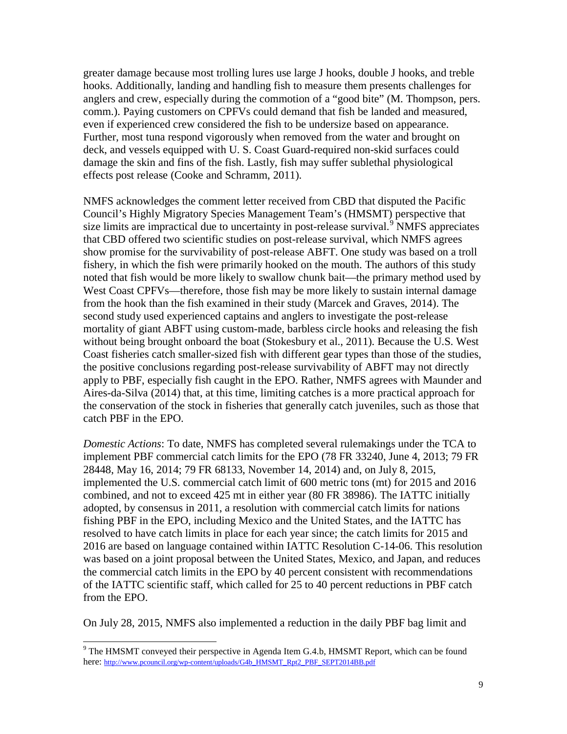greater damage because most trolling lures use large J hooks, double J hooks, and treble hooks. Additionally, landing and handling fish to measure them presents challenges for anglers and crew, especially during the commotion of a "good bite" (M. Thompson, pers. comm.). Paying customers on CPFVs could demand that fish be landed and measured, even if experienced crew considered the fish to be undersize based on appearance. Further, most tuna respond vigorously when removed from the water and brought on deck, and vessels equipped with U. S. Coast Guard-required non-skid surfaces could damage the skin and fins of the fish. Lastly, fish may suffer sublethal physiological effects post release (Cooke and Schramm, 2011).

NMFS acknowledges the comment letter received from CBD that disputed the Pacific Council's Highly Migratory Species Management Team's (HMSMT) perspective that size limits are impractical due to uncertainty in post-release survival.<sup>[9](#page-10-0)</sup> NMFS appreciates that CBD offered two scientific studies on post-release survival, which NMFS agrees show promise for the survivability of post-release ABFT. One study was based on a troll fishery, in which the fish were primarily hooked on the mouth. The authors of this study noted that fish would be more likely to swallow chunk bait—the primary method used by West Coast CPFVs—therefore, those fish may be more likely to sustain internal damage from the hook than the fish examined in their study (Marcek and Graves, 2014). The second study used experienced captains and anglers to investigate the post-release mortality of giant ABFT using custom-made, barbless circle hooks and releasing the fish without being brought onboard the boat (Stokesbury et al., 2011). Because the U.S. West Coast fisheries catch smaller-sized fish with different gear types than those of the studies, the positive conclusions regarding post-release survivability of ABFT may not directly apply to PBF, especially fish caught in the EPO. Rather, NMFS agrees with Maunder and Aires-da-Silva (2014) that, at this time, limiting catches is a more practical approach for the conservation of the stock in fisheries that generally catch juveniles, such as those that catch PBF in the EPO.

*Domestic Actions*: To date, NMFS has completed several rulemakings under the TCA to implement PBF commercial catch limits for the EPO (78 FR 33240, June 4, 2013; 79 FR 28448, May 16, 2014; 79 FR 68133, November 14, 2014) and, on July 8, 2015, implemented the U.S. commercial catch limit of 600 metric tons (mt) for 2015 and 2016 combined, and not to exceed 425 mt in either year (80 FR 38986). The IATTC initially adopted, by consensus in 2011, a resolution with commercial catch limits for nations fishing PBF in the EPO, including Mexico and the United States, and the IATTC has resolved to have catch limits in place for each year since; the catch limits for 2015 and 2016 are based on language contained within IATTC Resolution C-14-06. This resolution was based on a joint proposal between the United States, Mexico, and Japan, and reduces the commercial catch limits in the EPO by 40 percent consistent with recommendations of the IATTC scientific staff, which called for 25 to 40 percent reductions in PBF catch from the EPO.

On July 28, 2015, NMFS also implemented a reduction in the daily PBF bag limit and

<span id="page-10-0"></span> $9$  The HMSMT conveyed their perspective in Agenda Item G.4.b, HMSMT Report, which can be found here: [http://www.pcouncil.org/wp-content/uploads/G4b\\_HMSMT\\_Rpt2\\_PBF\\_SEPT2014BB.pdf](http://www.pcouncil.org/wp-content/uploads/G4b_HMSMT_Rpt2_PBF_SEPT2014BB.pdf)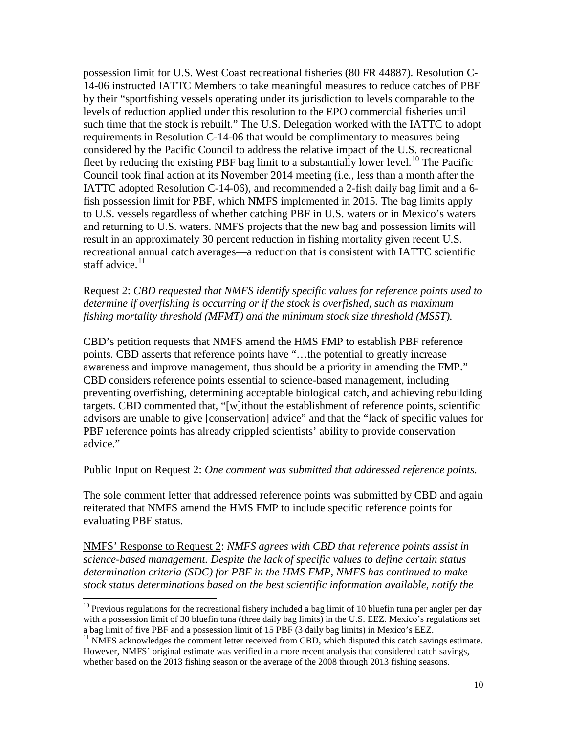possession limit for U.S. West Coast recreational fisheries (80 FR 44887). Resolution C-14-06 instructed IATTC Members to take meaningful measures to reduce catches of PBF by their "sportfishing vessels operating under its jurisdiction to levels comparable to the levels of reduction applied under this resolution to the EPO commercial fisheries until such time that the stock is rebuilt." The U.S. Delegation worked with the IATTC to adopt requirements in Resolution C-14-06 that would be complimentary to measures being considered by the Pacific Council to address the relative impact of the U.S. recreational fleet by reducing the existing PBF bag limit to a substantially lower level.<sup>[10](#page-11-0)</sup> The Pacific Council took final action at its November 2014 meeting (i.e., less than a month after the IATTC adopted Resolution C-14-06), and recommended a 2-fish daily bag limit and a 6 fish possession limit for PBF, which NMFS implemented in 2015. The bag limits apply to U.S. vessels regardless of whether catching PBF in U.S. waters or in Mexico's waters and returning to U.S. waters. NMFS projects that the new bag and possession limits will result in an approximately 30 percent reduction in fishing mortality given recent U.S. recreational annual catch averages—a reduction that is consistent with IATTC scientific staff advice.<sup>[11](#page-11-1)</sup>

Request 2: *CBD requested that NMFS identify specific values for reference points used to determine if overfishing is occurring or if the stock is overfished, such as maximum fishing mortality threshold (MFMT) and the minimum stock size threshold (MSST).*

CBD's petition requests that NMFS amend the HMS FMP to establish PBF reference points. CBD asserts that reference points have "…the potential to greatly increase awareness and improve management, thus should be a priority in amending the FMP." CBD considers reference points essential to science-based management, including preventing overfishing, determining acceptable biological catch, and achieving rebuilding targets. CBD commented that, "[w]ithout the establishment of reference points, scientific advisors are unable to give [conservation] advice" and that the "lack of specific values for PBF reference points has already crippled scientists' ability to provide conservation advice."

#### Public Input on Request 2: *One comment was submitted that addressed reference points.*

The sole comment letter that addressed reference points was submitted by CBD and again reiterated that NMFS amend the HMS FMP to include specific reference points for evaluating PBF status.

NMFS' Response to Request 2: *NMFS agrees with CBD that reference points assist in science-based management. Despite the lack of specific values to define certain status determination criteria (SDC) for PBF in the HMS FMP, NMFS has continued to make stock status determinations based on the best scientific information available, notify the* 

<span id="page-11-0"></span><sup>&</sup>lt;sup>10</sup> Previous regulations for the recreational fishery included a bag limit of 10 bluefin tuna per angler per day with a possession limit of 30 bluefin tuna (three daily bag limits) in the U.S. EEZ. Mexico's regulations set a bag limit of five PBF and a possession limit of 15 PBF (3 daily bag limits) in Mexico's EEZ.

<span id="page-11-1"></span> $11$  NMFS acknowledges the comment letter received from CBD, which disputed this catch savings estimate. However, NMFS' original estimate was verified in a more recent analysis that considered catch savings, whether based on the 2013 fishing season or the average of the 2008 through 2013 fishing seasons.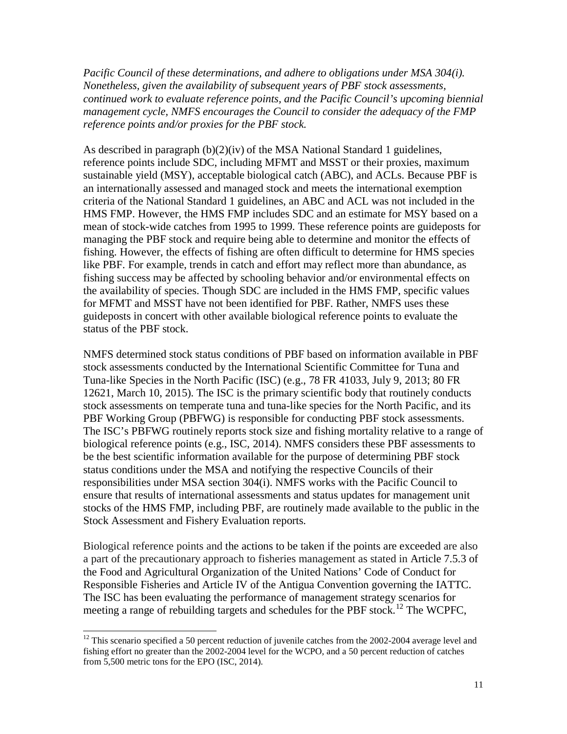*Pacific Council of these determinations, and adhere to obligations under MSA 304(i). Nonetheless, given the availability of subsequent years of PBF stock assessments, continued work to evaluate reference points, and the Pacific Council's upcoming biennial management cycle, NMFS encourages the Council to consider the adequacy of the FMP reference points and/or proxies for the PBF stock.* 

As described in paragraph  $(b)(2)(iv)$  of the MSA National Standard 1 guidelines, reference points include SDC, including MFMT and MSST or their proxies, maximum sustainable yield (MSY), acceptable biological catch (ABC), and ACLs. Because PBF is an internationally assessed and managed stock and meets the international exemption criteria of the National Standard 1 guidelines, an ABC and ACL was not included in the HMS FMP. However, the HMS FMP includes SDC and an estimate for MSY based on a mean of stock-wide catches from 1995 to 1999. These reference points are guideposts for managing the PBF stock and require being able to determine and monitor the effects of fishing. However, the effects of fishing are often difficult to determine for HMS species like PBF. For example, trends in catch and effort may reflect more than abundance, as fishing success may be affected by schooling behavior and/or environmental effects on the availability of species. Though SDC are included in the HMS FMP, specific values for MFMT and MSST have not been identified for PBF. Rather, NMFS uses these guideposts in concert with other available biological reference points to evaluate the status of the PBF stock.

NMFS determined stock status conditions of PBF based on information available in PBF stock assessments conducted by the International Scientific Committee for Tuna and Tuna-like Species in the North Pacific (ISC) (e.g., 78 FR 41033, July 9, 2013; 80 FR 12621, March 10, 2015). The ISC is the primary scientific body that routinely conducts stock assessments on temperate tuna and tuna-like species for the North Pacific, and its PBF Working Group (PBFWG) is responsible for conducting PBF stock assessments. The ISC's PBFWG routinely reports stock size and fishing mortality relative to a range of biological reference points (e.g., ISC, 2014). NMFS considers these PBF assessments to be the best scientific information available for the purpose of determining PBF stock status conditions under the MSA and notifying the respective Councils of their responsibilities under MSA section 304(i). NMFS works with the Pacific Council to ensure that results of international assessments and status updates for management unit stocks of the HMS FMP, including PBF, are routinely made available to the public in the Stock Assessment and Fishery Evaluation reports.

Biological reference points and the actions to be taken if the points are exceeded are also a part of the precautionary approach to fisheries management as stated in Article 7.5.3 of the Food and Agricultural Organization of the United Nations' Code of Conduct for Responsible Fisheries and Article IV of the Antigua Convention governing the IATTC. The ISC has been evaluating the performance of management strategy scenarios for meeting a range of rebuilding targets and schedules for the PBF stock.<sup>[12](#page-12-0)</sup> The WCPFC,

<span id="page-12-0"></span><sup>&</sup>lt;sup>12</sup> This scenario specified a 50 percent reduction of juvenile catches from the 2002-2004 average level and fishing effort no greater than the 2002-2004 level for the WCPO, and a 50 percent reduction of catches from 5,500 metric tons for the EPO (ISC, 2014).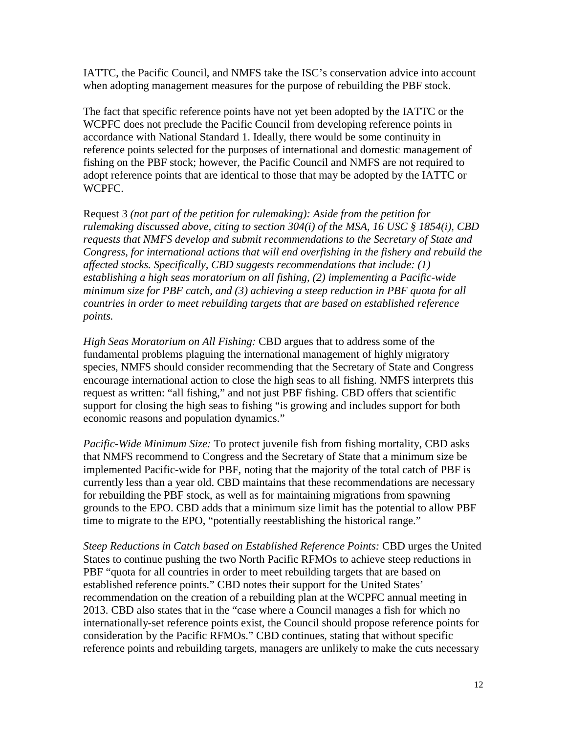IATTC, the Pacific Council, and NMFS take the ISC's conservation advice into account when adopting management measures for the purpose of rebuilding the PBF stock.

The fact that specific reference points have not yet been adopted by the IATTC or the WCPFC does not preclude the Pacific Council from developing reference points in accordance with National Standard 1. Ideally, there would be some continuity in reference points selected for the purposes of international and domestic management of fishing on the PBF stock; however, the Pacific Council and NMFS are not required to adopt reference points that are identical to those that may be adopted by the IATTC or WCPFC.

Request 3 *(not part of the petition for rulemaking): Aside from the petition for rulemaking discussed above, citing to section 304(i) of the MSA, 16 USC § 1854(i), CBD requests that NMFS develop and submit recommendations to the Secretary of State and Congress, for international actions that will end overfishing in the fishery and rebuild the affected stocks. Specifically, CBD suggests recommendations that include: (1) establishing a high seas moratorium on all fishing, (2) implementing a Pacific-wide minimum size for PBF catch, and (3) achieving a steep reduction in PBF quota for all countries in order to meet rebuilding targets that are based on established reference points.* 

*High Seas Moratorium on All Fishing:* CBD argues that to address some of the fundamental problems plaguing the international management of highly migratory species, NMFS should consider recommending that the Secretary of State and Congress encourage international action to close the high seas to all fishing. NMFS interprets this request as written: "all fishing," and not just PBF fishing. CBD offers that scientific support for closing the high seas to fishing "is growing and includes support for both economic reasons and population dynamics."

*Pacific-Wide Minimum Size:* To protect juvenile fish from fishing mortality, CBD asks that NMFS recommend to Congress and the Secretary of State that a minimum size be implemented Pacific-wide for PBF, noting that the majority of the total catch of PBF is currently less than a year old. CBD maintains that these recommendations are necessary for rebuilding the PBF stock, as well as for maintaining migrations from spawning grounds to the EPO. CBD adds that a minimum size limit has the potential to allow PBF time to migrate to the EPO, "potentially reestablishing the historical range."

*Steep Reductions in Catch based on Established Reference Points:* CBD urges the United States to continue pushing the two North Pacific RFMOs to achieve steep reductions in PBF "quota for all countries in order to meet rebuilding targets that are based on established reference points." CBD notes their support for the United States' recommendation on the creation of a rebuilding plan at the WCPFC annual meeting in 2013. CBD also states that in the "case where a Council manages a fish for which no internationally-set reference points exist, the Council should propose reference points for consideration by the Pacific RFMOs." CBD continues, stating that without specific reference points and rebuilding targets, managers are unlikely to make the cuts necessary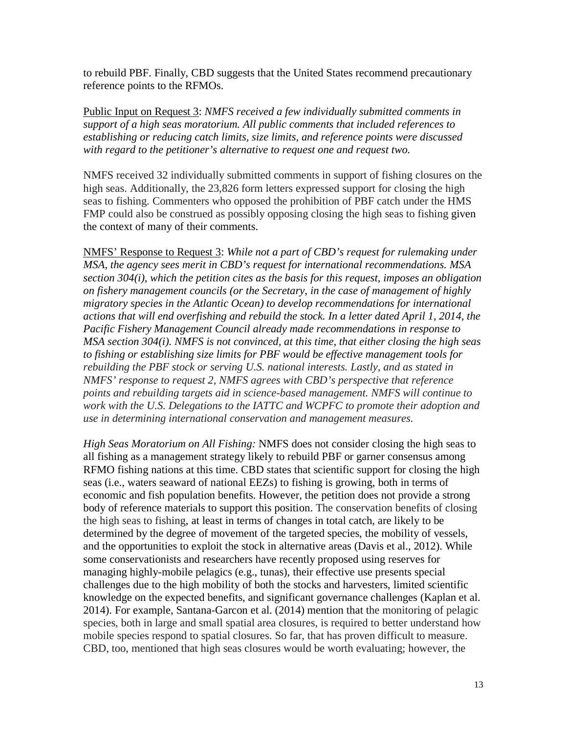to rebuild PBF. Finally, CBD suggests that the United States recommend precautionary reference points to the RFMOs.

Public Input on Request 3: *NMFS received a few individually submitted comments in support of a high seas moratorium. All public comments that included references to establishing or reducing catch limits, size limits, and reference points were discussed with regard to the petitioner's alternative to request one and request two.* 

NMFS received 32 individually submitted comments in support of fishing closures on the high seas. Additionally, the 23,826 form letters expressed support for closing the high seas to fishing. Commenters who opposed the prohibition of PBF catch under the HMS FMP could also be construed as possibly opposing closing the high seas to fishing given the context of many of their comments.

NMFS' Response to Request 3: *While not a part of CBD's request for rulemaking under MSA, the agency sees merit in CBD's request for international recommendations. MSA section 304(i), which the petition cites as the basis for this request, imposes an obligation on fishery management councils (or the Secretary, in the case of management of highly migratory species in the Atlantic Ocean) to develop recommendations for international actions that will end overfishing and rebuild the stock. In a letter dated April 1, 2014, the Pacific Fishery Management Council already made recommendations in response to MSA section 304(i). NMFS is not convinced, at this time, that either closing the high seas to fishing or establishing size limits for PBF would be effective management tools for rebuilding the PBF stock or serving U.S. national interests. Lastly, and as stated in NMFS' response to request 2, NMFS agrees with CBD's perspective that reference points and rebuilding targets aid in science-based management. NMFS will continue to work with the U.S. Delegations to the IATTC and WCPFC to promote their adoption and use in determining international conservation and management measures.*

*High Seas Moratorium on All Fishing:* NMFS does not consider closing the high seas to all fishing as a management strategy likely to rebuild PBF or garner consensus among RFMO fishing nations at this time. CBD states that scientific support for closing the high seas (i.e., waters seaward of national EEZs) to fishing is growing, both in terms of economic and fish population benefits. However, the petition does not provide a strong body of reference materials to support this position. The conservation benefits of closing the high seas to fishing, at least in terms of changes in total catch, are likely to be determined by the degree of movement of the targeted species, the mobility of vessels, and the opportunities to exploit the stock in alternative areas (Davis et al., 2012). While some conservationists and researchers have recently proposed using reserves for managing highly-mobile pelagics (e.g., tunas), their effective use presents special challenges due to the high mobility of both the stocks and harvesters, limited scientific knowledge on the expected benefits, and significant governance challenges (Kaplan et al. 2014). For example, Santana-Garcon et al. (2014) mention that the monitoring of pelagic species, both in large and small spatial area closures, is required to better understand how mobile species respond to spatial closures. So far, that has proven difficult to measure. CBD, too, mentioned that high seas closures would be worth evaluating; however, the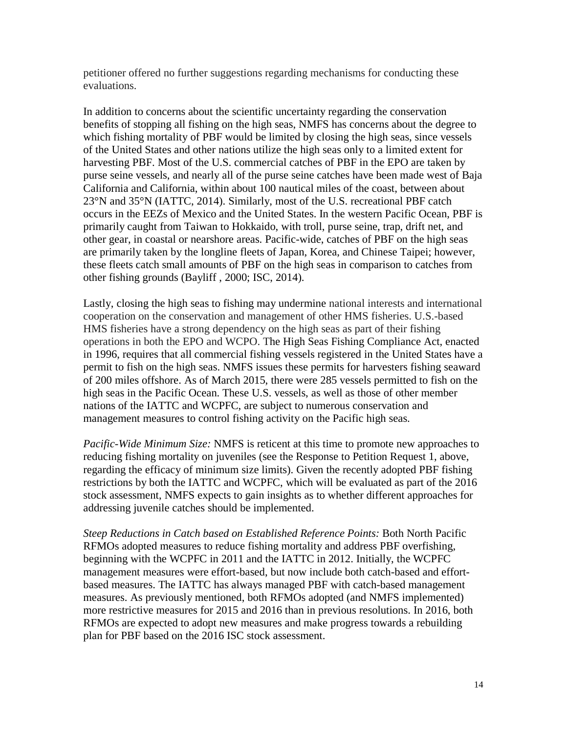petitioner offered no further suggestions regarding mechanisms for conducting these evaluations.

In addition to concerns about the scientific uncertainty regarding the conservation benefits of stopping all fishing on the high seas, NMFS has concerns about the degree to which fishing mortality of PBF would be limited by closing the high seas, since vessels of the United States and other nations utilize the high seas only to a limited extent for harvesting PBF. Most of the U.S. commercial catches of PBF in the EPO are taken by purse seine vessels, and nearly all of the purse seine catches have been made west of Baja California and California, within about 100 nautical miles of the coast, between about 23°N and 35°N (IATTC, 2014). Similarly, most of the U.S. recreational PBF catch occurs in the EEZs of Mexico and the United States. In the western Pacific Ocean, PBF is primarily caught from Taiwan to Hokkaido, with troll, purse seine, trap, drift net, and other gear, in coastal or nearshore areas. Pacific-wide, catches of PBF on the high seas are primarily taken by the longline fleets of Japan, Korea, and Chinese Taipei; however, these fleets catch small amounts of PBF on the high seas in comparison to catches from other fishing grounds (Bayliff , 2000; ISC, 2014).

Lastly, closing the high seas to fishing may undermine national interests and international cooperation on the conservation and management of other HMS fisheries. U.S.-based HMS fisheries have a strong dependency on the high seas as part of their fishing operations in both the EPO and WCPO. The High Seas Fishing Compliance Act, enacted in 1996, requires that all commercial fishing vessels registered in the United States have a permit to fish on the high seas. NMFS issues these permits for harvesters fishing seaward of 200 miles offshore. As of March 2015, there were 285 vessels permitted to fish on the high seas in the Pacific Ocean. These U.S. vessels, as well as those of other member nations of the IATTC and WCPFC, are subject to numerous conservation and management measures to control fishing activity on the Pacific high seas.

*Pacific-Wide Minimum Size:* NMFS is reticent at this time to promote new approaches to reducing fishing mortality on juveniles (see the Response to Petition Request 1, above, regarding the efficacy of minimum size limits). Given the recently adopted PBF fishing restrictions by both the IATTC and WCPFC, which will be evaluated as part of the 2016 stock assessment, NMFS expects to gain insights as to whether different approaches for addressing juvenile catches should be implemented.

*Steep Reductions in Catch based on Established Reference Points:* Both North Pacific RFMOs adopted measures to reduce fishing mortality and address PBF overfishing, beginning with the WCPFC in 2011 and the IATTC in 2012. Initially, the WCPFC management measures were effort-based, but now include both catch-based and effortbased measures. The IATTC has always managed PBF with catch-based management measures. As previously mentioned, both RFMOs adopted (and NMFS implemented) more restrictive measures for 2015 and 2016 than in previous resolutions. In 2016, both RFMOs are expected to adopt new measures and make progress towards a rebuilding plan for PBF based on the 2016 ISC stock assessment.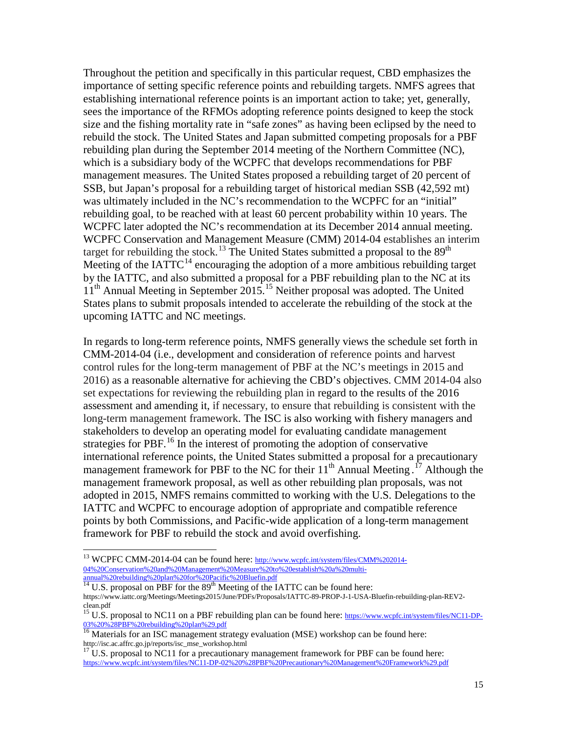Throughout the petition and specifically in this particular request, CBD emphasizes the importance of setting specific reference points and rebuilding targets. NMFS agrees that establishing international reference points is an important action to take; yet, generally, sees the importance of the RFMOs adopting reference points designed to keep the stock size and the fishing mortality rate in "safe zones" as having been eclipsed by the need to rebuild the stock. The United States and Japan submitted competing proposals for a PBF rebuilding plan during the September 2014 meeting of the Northern Committee (NC), which is a subsidiary body of the WCPFC that develops recommendations for PBF management measures. The United States proposed a rebuilding target of 20 percent of SSB, but Japan's proposal for a rebuilding target of historical median SSB (42,592 mt) was ultimately included in the NC's recommendation to the WCPFC for an "initial" rebuilding goal, to be reached with at least 60 percent probability within 10 years. The WCPFC later adopted the NC's recommendation at its December 2014 annual meeting. WCPFC Conservation and Management Measure (CMM) 2014-04 establishes an interim target for rebuilding the stock.<sup>[13](#page-16-0)</sup> The United States submitted a proposal to the  $89<sup>th</sup>$ Meeting of the IATTC<sup>[14](#page-16-1)</sup> encouraging the adoption of a more ambitious rebuilding target by the IATTC, and also submitted a proposal for a PBF rebuilding plan to the NC at its 11<sup>th</sup> Annual Meeting in September 20[15](#page-16-2).<sup>15</sup> Neither proposal was adopted. The United States plans to submit proposals intended to accelerate the rebuilding of the stock at the upcoming IATTC and NC meetings.

In regards to long-term reference points, NMFS generally views the schedule set forth in CMM-2014-04 (i.e., development and consideration of reference points and harvest control rules for the long-term management of PBF at the NC's meetings in 2015 and 2016) as a reasonable alternative for achieving the CBD's objectives. CMM 2014-04 also set expectations for reviewing the rebuilding plan in regard to the results of the 2016 assessment and amending it, if necessary, to ensure that rebuilding is consistent with the long-term management framework. The ISC is also working with fishery managers and stakeholders to develop an operating model for evaluating candidate management strategies for PBF.<sup>[16](#page-16-3)</sup> In the interest of promoting the adoption of conservative international reference points, the United States submitted a proposal for a precautionary management framework for PBF to the NC for their  $11<sup>th</sup>$  Annual Meeting.<sup>[17](#page-16-4)</sup> Although the management framework proposal, as well as other rebuilding plan proposals, was not adopted in 2015, NMFS remains committed to working with the U.S. Delegations to the IATTC and WCPFC to encourage adoption of appropriate and compatible reference points by both Commissions, and Pacific-wide application of a long-term management framework for PBF to rebuild the stock and avoid overfishing.

<span id="page-16-0"></span><sup>&</sup>lt;sup>13</sup> WCPFC CMM-2014-04 can be found here[: http://www.wcpfc.int/system/files/CMM%202014-](http://www.wcpfc.int/system/files/CMM%202014-04%20Conservation%20and%20Management%20Measure%20to%20establish%20a%20multi-annual%20rebuilding%20plan%20for%20Pacific%20Bluefin.pdf) [04%20Conservation%20and%20Management%20Measure%20to%20establish%20a%20multi-](http://www.wcpfc.int/system/files/CMM%202014-04%20Conservation%20and%20Management%20Measure%20to%20establish%20a%20multi-annual%20rebuilding%20plan%20for%20Pacific%20Bluefin.pdf)

<span id="page-16-1"></span>[annual%20rebuilding%20plan%20for%20Pacific%20Bluefin.pdf](http://www.wcpfc.int/system/files/CMM%202014-04%20Conservation%20and%20Management%20Measure%20to%20establish%20a%20multi-annual%20rebuilding%20plan%20for%20Pacific%20Bluefin.pdf)<br><sup>14</sup> U.S. proposal on PBF for the 89<sup>th</sup> Meeting of the IATTC can be found here: https://www.iattc.org/Meetings/Meetings2015/June/PDFs/Proposals/IATTC-89-PROP-J-1-USA-Bluefin-rebuilding-plan-REV2 clean.pdf<br><sup>15</sup> U.S. proposal to NC11 on a PBF rebuilding plan can be found here: <u>https://www.wcpfc.int/system/files/NC11-DP-</u>

<span id="page-16-2"></span>[<sup>03%20%28</sup>PBF%20rebuilding%20plan%29.pdf](https://www.wcpfc.int/system/files/NC11-DP-03%20%28PBF%20rebuilding%20plan%29.pdf)<br><sup>16</sup> Materials for an ISC management strategy evaluation (MSE) workshop can be found here:

<span id="page-16-3"></span>

<span id="page-16-4"></span>http://isc.ac.affrc.go.jp/reports/isc\_mse\_workshop.html<br><sup>17</sup> U.S. proposal to NC11 for a precautionary management framework for PBF can be found here: <https://www.wcpfc.int/system/files/NC11-DP-02%20%28PBF%20Precautionary%20Management%20Framework%29.pdf>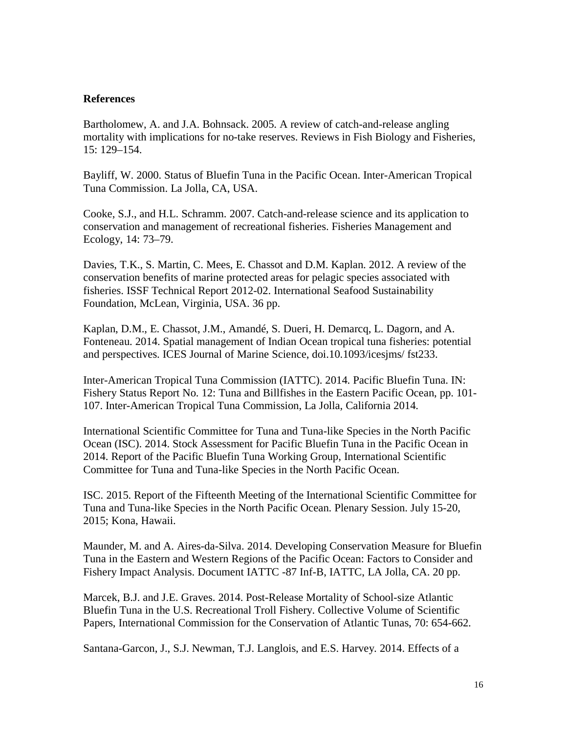### **References**

Bartholomew, A. and J.A. Bohnsack. 2005. A review of catch-and-release angling mortality with implications for no-take reserves. Reviews in Fish Biology and Fisheries, 15: 129–154.

Bayliff, W. 2000. Status of Bluefin Tuna in the Pacific Ocean. Inter-American Tropical Tuna Commission. La Jolla, CA, USA.

Cooke, S.J., and H.L. Schramm. 2007. Catch-and-release science and its application to conservation and management of recreational fisheries. Fisheries Management and Ecology, 14: 73–79.

Davies, T.K., S. Martin, C. Mees, E. Chassot and D.M. Kaplan. 2012. A review of the conservation benefits of marine protected areas for pelagic species associated with fisheries. ISSF Technical Report 2012-02. International Seafood Sustainability Foundation, McLean, Virginia, USA. 36 pp.

Kaplan, D.M., E. Chassot, J.M., Amandé, S. Dueri, H. Demarcq, L. Dagorn, and A. Fonteneau. 2014. Spatial management of Indian Ocean tropical tuna fisheries: potential and perspectives. ICES Journal of Marine Science, doi.10.1093/icesjms/ fst233.

Inter-American Tropical Tuna Commission (IATTC). 2014. Pacific Bluefin Tuna. IN: Fishery Status Report No. 12: Tuna and Billfishes in the Eastern Pacific Ocean, pp. 101- 107. Inter-American Tropical Tuna Commission, La Jolla, California 2014.

International Scientific Committee for Tuna and Tuna-like Species in the North Pacific Ocean (ISC). 2014. Stock Assessment for Pacific Bluefin Tuna in the Pacific Ocean in 2014. Report of the Pacific Bluefin Tuna Working Group, International Scientific Committee for Tuna and Tuna-like Species in the North Pacific Ocean.

ISC. 2015. Report of the Fifteenth Meeting of the International Scientific Committee for Tuna and Tuna-like Species in the North Pacific Ocean. Plenary Session. July 15-20, 2015; Kona, Hawaii.

Maunder, M. and A. Aires-da-Silva. 2014. Developing Conservation Measure for Bluefin Tuna in the Eastern and Western Regions of the Pacific Ocean: Factors to Consider and Fishery Impact Analysis. Document IATTC -87 Inf-B, IATTC, LA Jolla, CA. 20 pp.

Marcek, B.J. and J.E. Graves. 2014. Post-Release Mortality of School-size Atlantic Bluefin Tuna in the U.S. Recreational Troll Fishery. Collective Volume of Scientific Papers, International Commission for the Conservation of Atlantic Tunas, 70: 654-662.

Santana-Garcon, J., S.J. Newman, T.J. Langlois, and E.S. Harvey. 2014. Effects of a